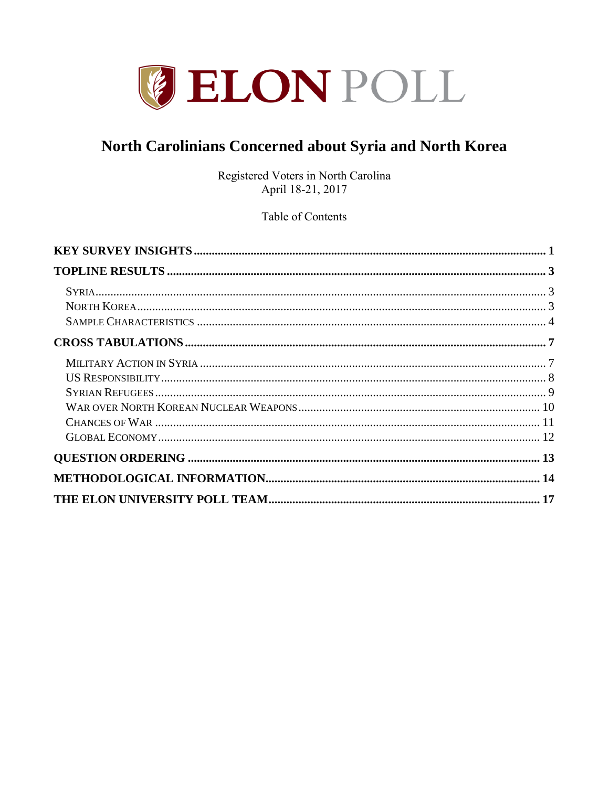

# North Carolinians Concerned about Syria and North Korea

Registered Voters in North Carolina April 18-21, 2017

Table of Contents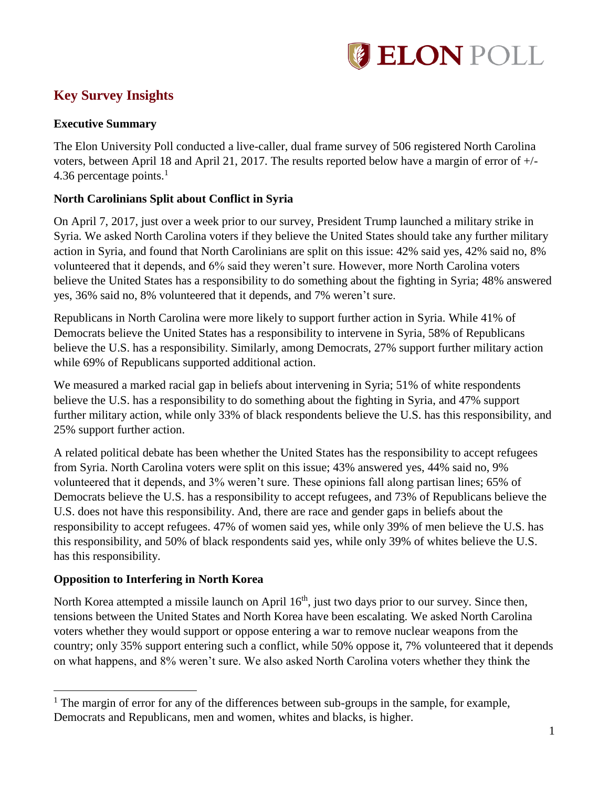

# <span id="page-1-0"></span>**Key Survey Insights**

### **Executive Summary**

The Elon University Poll conducted a live-caller, dual frame survey of 506 registered North Carolina voters, between April 18 and April 21, 2017. The results reported below have a margin of error of +/- 4.36 percentage points. $<sup>1</sup>$ </sup>

### **North Carolinians Split about Conflict in Syria**

On April 7, 2017, just over a week prior to our survey, President Trump launched a military strike in Syria. We asked North Carolina voters if they believe the United States should take any further military action in Syria, and found that North Carolinians are split on this issue: 42% said yes, 42% said no, 8% volunteered that it depends, and 6% said they weren't sure. However, more North Carolina voters believe the United States has a responsibility to do something about the fighting in Syria; 48% answered yes, 36% said no, 8% volunteered that it depends, and 7% weren't sure.

Republicans in North Carolina were more likely to support further action in Syria. While 41% of Democrats believe the United States has a responsibility to intervene in Syria, 58% of Republicans believe the U.S. has a responsibility. Similarly, among Democrats, 27% support further military action while 69% of Republicans supported additional action.

We measured a marked racial gap in beliefs about intervening in Syria; 51% of white respondents believe the U.S. has a responsibility to do something about the fighting in Syria, and 47% support further military action, while only 33% of black respondents believe the U.S. has this responsibility, and 25% support further action.

A related political debate has been whether the United States has the responsibility to accept refugees from Syria. North Carolina voters were split on this issue; 43% answered yes, 44% said no, 9% volunteered that it depends, and 3% weren't sure. These opinions fall along partisan lines; 65% of Democrats believe the U.S. has a responsibility to accept refugees, and 73% of Republicans believe the U.S. does not have this responsibility. And, there are race and gender gaps in beliefs about the responsibility to accept refugees. 47% of women said yes, while only 39% of men believe the U.S. has this responsibility, and 50% of black respondents said yes, while only 39% of whites believe the U.S. has this responsibility.

### **Opposition to Interfering in North Korea**

 $\overline{a}$ 

North Korea attempted a missile launch on April 16<sup>th</sup>, just two days prior to our survey. Since then, tensions between the United States and North Korea have been escalating. We asked North Carolina voters whether they would support or oppose entering a war to remove nuclear weapons from the country; only 35% support entering such a conflict, while 50% oppose it, 7% volunteered that it depends on what happens, and 8% weren't sure. We also asked North Carolina voters whether they think the

 $<sup>1</sup>$  The margin of error for any of the differences between sub-groups in the sample, for example,</sup> Democrats and Republicans, men and women, whites and blacks, is higher.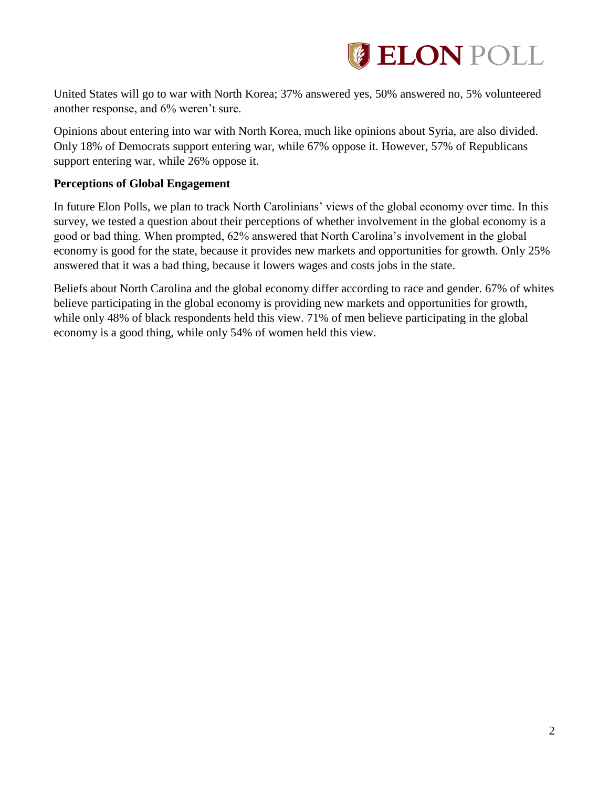

United States will go to war with North Korea; 37% answered yes, 50% answered no, 5% volunteered another response, and 6% weren't sure.

Opinions about entering into war with North Korea, much like opinions about Syria, are also divided. Only 18% of Democrats support entering war, while 67% oppose it. However, 57% of Republicans support entering war, while 26% oppose it.

### **Perceptions of Global Engagement**

In future Elon Polls, we plan to track North Carolinians' views of the global economy over time. In this survey, we tested a question about their perceptions of whether involvement in the global economy is a good or bad thing. When prompted, 62% answered that North Carolina's involvement in the global economy is good for the state, because it provides new markets and opportunities for growth. Only 25% answered that it was a bad thing, because it lowers wages and costs jobs in the state.

Beliefs about North Carolina and the global economy differ according to race and gender. 67% of whites believe participating in the global economy is providing new markets and opportunities for growth, while only 48% of black respondents held this view. 71% of men believe participating in the global economy is a good thing, while only 54% of women held this view.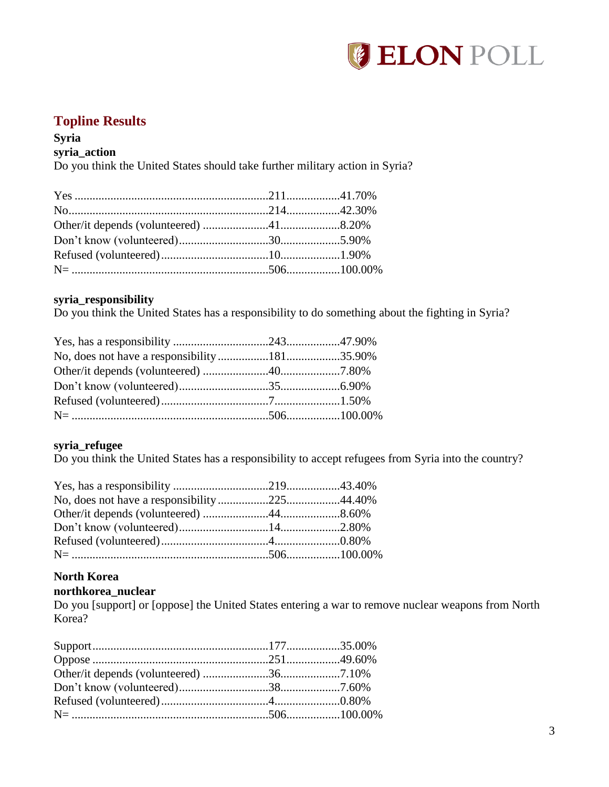

## <span id="page-3-0"></span>**Topline Results**

### <span id="page-3-1"></span>**Syria**

### **syria\_action**

Do you think the United States should take further military action in Syria?

### **syria\_responsibility**

Do you think the United States has a responsibility to do something about the fighting in Syria?

### **syria\_refugee**

Do you think the United States has a responsibility to accept refugees from Syria into the country?

### <span id="page-3-2"></span>**North Korea**

#### **northkorea\_nuclear**

Do you [support] or [oppose] the United States entering a war to remove nuclear weapons from North Korea?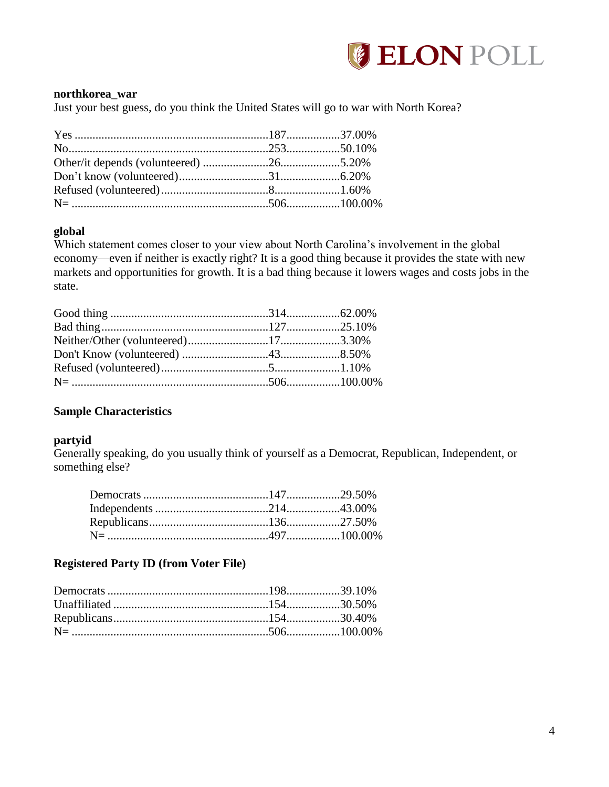

#### **northkorea\_war**

Just your best guess, do you think the United States will go to war with North Korea?

### **global**

Which statement comes closer to your view about North Carolina's involvement in the global economy—even if neither is exactly right? It is a good thing because it provides the state with new markets and opportunities for growth. It is a bad thing because it lowers wages and costs jobs in the state.

### <span id="page-4-0"></span>**Sample Characteristics**

#### **partyid**

Generally speaking, do you usually think of yourself as a Democrat, Republican, Independent, or something else?

### **Registered Party ID (from Voter File)**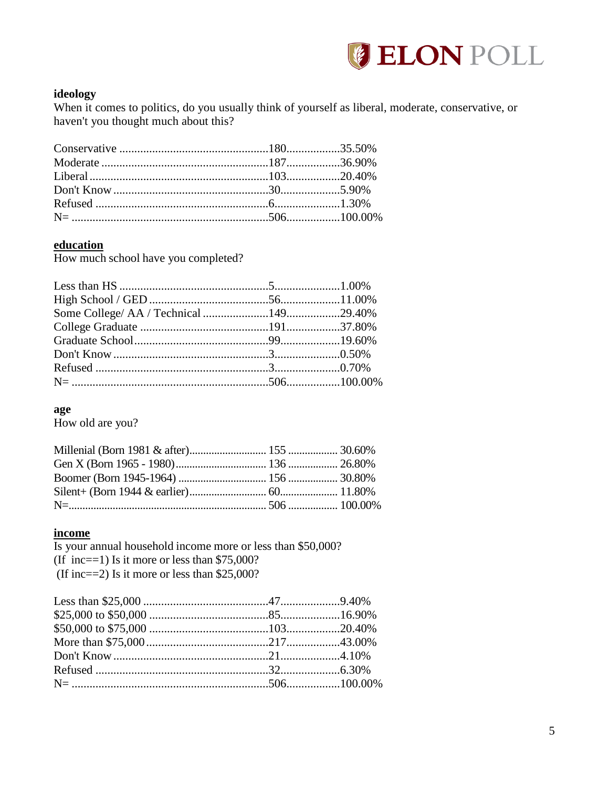

### ideology

When it comes to politics, do you usually think of yourself as liberal, moderate, conservative, or haven't you thought much about this?

#### education

How much school have you completed?

### age

How old are you?

#### income

Is your annual household income more or less than \$50,000? (If inc==1) Is it more or less than  $$75,000$ ? (If inc==2) Is it more or less than  $$25,000$ ?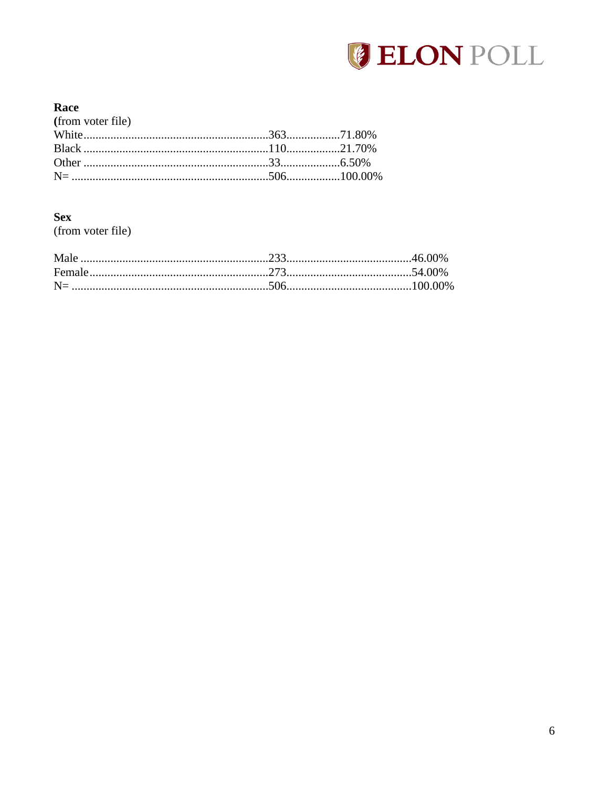

### Race

| (from voter file) |  |
|-------------------|--|
|                   |  |
|                   |  |
|                   |  |
|                   |  |
|                   |  |

### **Sex**

(from voter file)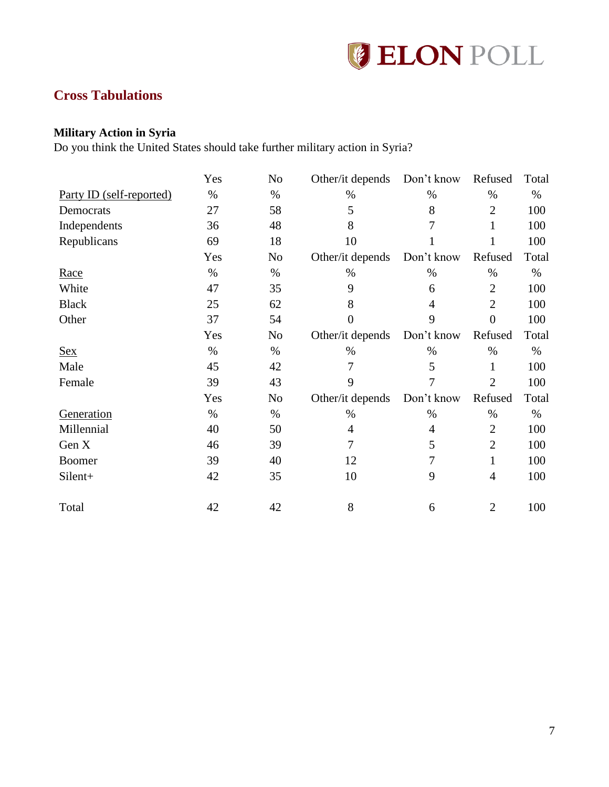

# <span id="page-7-0"></span>**Cross Tabulations**

### <span id="page-7-1"></span>**Military Action in Syria**

Do you think the United States should take further military action in Syria?

|                                 | Yes  | N <sub>0</sub> | Other/it depends Don't know |            | Refused        | Total |
|---------------------------------|------|----------------|-----------------------------|------------|----------------|-------|
| <u>Party ID (self-reported)</u> | $\%$ | $\%$           | $\%$                        | $\%$       | $\%$           | $\%$  |
| Democrats                       | 27   | 58             | 5                           | 8          | $\overline{2}$ | 100   |
| Independents                    | 36   | 48             | 8                           | 7          | 1              | 100   |
| Republicans                     | 69   | 18             | 10                          |            |                | 100   |
|                                 | Yes  | No             | Other/it depends            | Don't know | Refused        | Total |
| Race                            | $\%$ | $\%$           | $\%$                        | $\%$       | $\%$           | $\%$  |
| White                           | 47   | 35             | 9                           | 6          | $\overline{2}$ | 100   |
| <b>Black</b>                    | 25   | 62             | 8                           | 4          | $\overline{2}$ | 100   |
| Other                           | 37   | 54             | $\overline{0}$              | 9          | $\overline{0}$ | 100   |
|                                 | Yes  | N <sub>0</sub> | Other/it depends            | Don't know | Refused        | Total |
| <u>Sex</u>                      | $\%$ | $\%$           | $\%$                        | $\%$       | $\%$           | $\%$  |
| Male                            | 45   | 42             | 7                           | 5          | 1              | 100   |
| Female                          | 39   | 43             | 9                           | 7          | $\overline{2}$ | 100   |
|                                 | Yes  | No             | Other/it depends            | Don't know | Refused        | Total |
| Generation                      | $\%$ | $\%$           | $\%$                        | $\%$       | $\%$           | $\%$  |
| Millennial                      | 40   | 50             | 4                           | 4          | $\overline{2}$ | 100   |
| Gen X                           | 46   | 39             | 7                           | 5          | $\overline{2}$ | 100   |
| Boomer                          | 39   | 40             | 12                          | 7          | 1              | 100   |
| Silent+                         | 42   | 35             | 10                          | 9          | $\overline{4}$ | 100   |
| Total                           | 42   | 42             | 8                           | 6          | $\overline{2}$ | 100   |
|                                 |      |                |                             |            |                |       |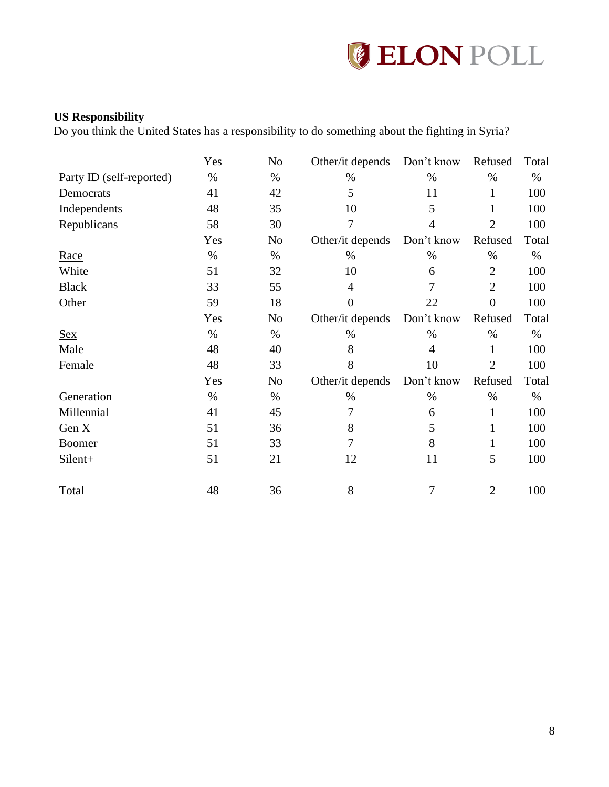

### <span id="page-8-0"></span>**US Responsibility**

Do you think the United States has a responsibility to do something about the fighting in Syria?

|                                 | Yes  | No   | Other/it depends | Don't know     | Refused        | Total |
|---------------------------------|------|------|------------------|----------------|----------------|-------|
| <u>Party ID (self-reported)</u> | $\%$ | $\%$ | $\%$             | $\%$           | $\%$           | $\%$  |
| Democrats                       | 41   | 42   | 5                | 11             | 1              | 100   |
| Independents                    | 48   | 35   | 10               | 5              | 1              | 100   |
| Republicans                     | 58   | 30   | $\overline{7}$   | $\overline{4}$ | $\overline{2}$ | 100   |
|                                 | Yes  | No   | Other/it depends | Don't know     | Refused        | Total |
| Race                            | $\%$ | $\%$ | $\%$             | $\%$           | $\%$           | $\%$  |
| White                           | 51   | 32   | 10               | 6              | $\overline{2}$ | 100   |
| <b>Black</b>                    | 33   | 55   | 4                | 7              | $\overline{2}$ | 100   |
| Other                           | 59   | 18   | $\overline{0}$   | 22             | $\overline{0}$ | 100   |
|                                 | Yes  | No   | Other/it depends | Don't know     | Refused        | Total |
| <b>Sex</b>                      | $\%$ | $\%$ | $\%$             | $\%$           | $\%$           | $\%$  |
| Male                            | 48   | 40   | 8                | $\overline{4}$ | 1              | 100   |
| Female                          | 48   | 33   | 8                | 10             | $\overline{2}$ | 100   |
|                                 | Yes  | No   | Other/it depends | Don't know     | Refused        | Total |
| Generation                      | $\%$ | $\%$ | $\%$             | $\%$           | $\%$           | $\%$  |
| Millennial                      | 41   | 45   | 7                | 6              | $\mathbf{1}$   | 100   |
| Gen X                           | 51   | 36   | 8                | 5              | 1              | 100   |
| <b>Boomer</b>                   | 51   | 33   | $\overline{7}$   | 8              | 1              | 100   |
| Silent+                         | 51   | 21   | 12               | 11             | 5              | 100   |
| Total                           | 48   | 36   | 8                | $\overline{7}$ | $\overline{2}$ | 100   |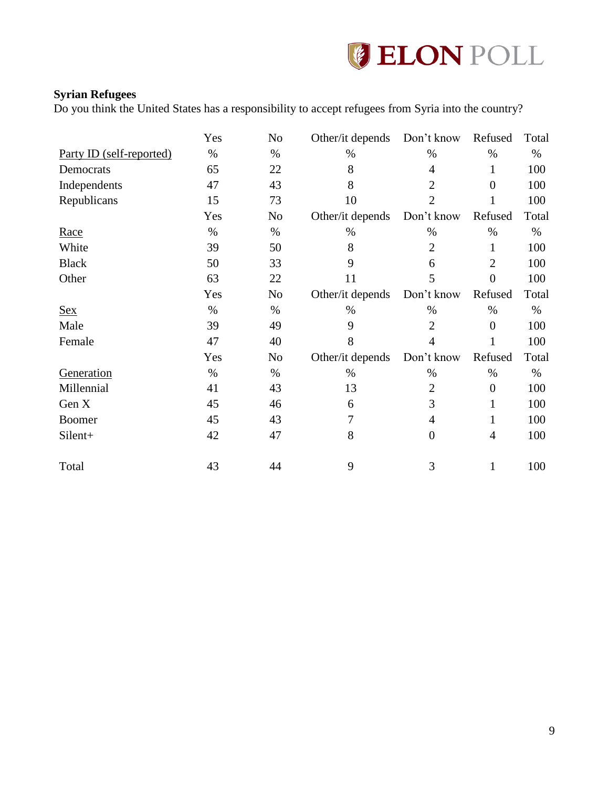

### <span id="page-9-0"></span>**Syrian Refugees**

Do you think the United States has a responsibility to accept refugees from Syria into the country?

|                                 | Yes  | No             | Other/it depends Don't know |                | Refused          | Total |
|---------------------------------|------|----------------|-----------------------------|----------------|------------------|-------|
| <u>Party ID (self-reported)</u> | $\%$ | $\%$           | $\%$                        | $\%$           | $\%$             | $\%$  |
| Democrats                       | 65   | 22             | 8                           | 4              | 1                | 100   |
| Independents                    | 47   | 43             | 8                           | $\overline{2}$ | $\theta$         | 100   |
| Republicans                     | 15   | 73             | 10                          | $\overline{2}$ |                  | 100   |
|                                 | Yes  | N <sub>0</sub> | Other/it depends            | Don't know     | Refused          | Total |
| <u>Race</u>                     | $\%$ | $\%$           | $\%$                        | $\%$           | $\%$             | $\%$  |
| White                           | 39   | 50             | 8                           | $\overline{2}$ | 1                | 100   |
| <b>Black</b>                    | 50   | 33             | 9                           | 6              | $\overline{2}$   | 100   |
| Other                           | 63   | 22             | 11                          | 5              | $\overline{0}$   | 100   |
|                                 | Yes  | No             | Other/it depends            | Don't know     | Refused          | Total |
| <b>Sex</b>                      | $\%$ | $\%$           | $\%$                        | $\%$           | $\%$             | $\%$  |
| Male                            | 39   | 49             | 9                           | $\overline{2}$ | $\overline{0}$   | 100   |
| Female                          | 47   | 40             | 8                           | $\overline{4}$ | 1                | 100   |
|                                 | Yes  | N <sub>0</sub> | Other/it depends            | Don't know     | Refused          | Total |
| Generation                      | $\%$ | $\%$           | $\%$                        | $\%$           | $\%$             | $\%$  |
| Millennial                      | 41   | 43             | 13                          | $\overline{2}$ | $\boldsymbol{0}$ | 100   |
| Gen X                           | 45   | 46             | 6                           | 3              | 1                | 100   |
| <b>Boomer</b>                   | 45   | 43             | 7                           | $\overline{4}$ | 1                | 100   |
| Silent+                         | 42   | 47             | 8                           | $\overline{0}$ | 4                | 100   |
| Total                           | 43   | 44             | 9                           | 3              |                  | 100   |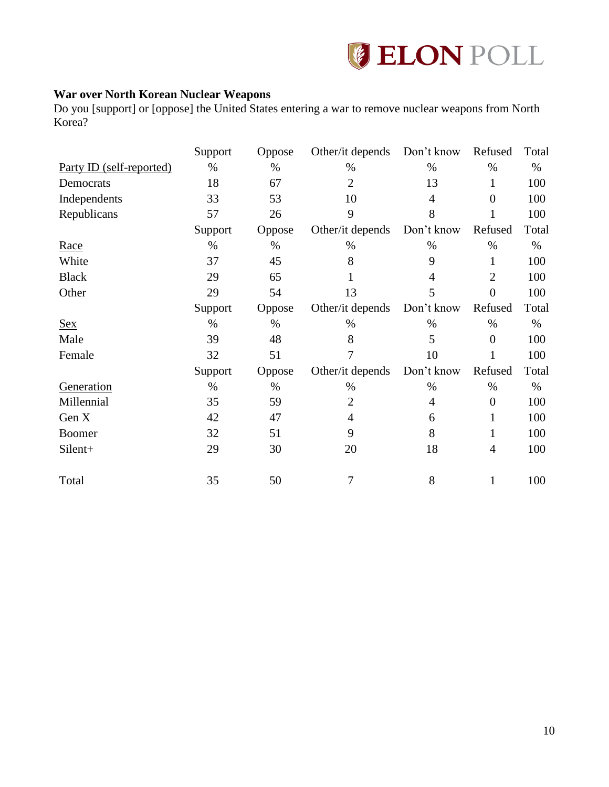

### <span id="page-10-0"></span>**War over North Korean Nuclear Weapons**

Do you [support] or [oppose] the United States entering a war to remove nuclear weapons from North Korea?

|                          | Support | Oppose | Other/it depends | Don't know | Refused          | Total |
|--------------------------|---------|--------|------------------|------------|------------------|-------|
| Party ID (self-reported) | $\%$    | $\%$   | $\%$             | $\%$       | $\%$             | $\%$  |
| Democrats                | 18      | 67     | $\mathfrak{2}$   | 13         | 1                | 100   |
| Independents             | 33      | 53     | 10               | 4          | $\boldsymbol{0}$ | 100   |
| Republicans              | 57      | 26     | 9                | 8          |                  | 100   |
|                          | Support | Oppose | Other/it depends | Don't know | Refused          | Total |
| Race                     | $\%$    | $\%$   | $\%$             | $\%$       | $\%$             | $\%$  |
| White                    | 37      | 45     | 8                | 9          | 1                | 100   |
| <b>Black</b>             | 29      | 65     | 1                | 4          | $\overline{2}$   | 100   |
| Other                    | 29      | 54     | 13               | 5          | $\overline{0}$   | 100   |
|                          | Support | Oppose | Other/it depends | Don't know | Refused          | Total |
| <b>Sex</b>               | $\%$    | $\%$   | $\%$             | $\%$       | $\%$             | $\%$  |
| Male                     | 39      | 48     | 8                | 5          | $\overline{0}$   | 100   |
| Female                   | 32      | 51     | 7                | 10         |                  | 100   |
|                          | Support | Oppose | Other/it depends | Don't know | Refused          | Total |
| Generation               | $\%$    | $\%$   | %                | $\%$       | $\%$             | %     |
| Millennial               | 35      | 59     | $\mathfrak{2}$   | 4          | $\overline{0}$   | 100   |
| Gen X                    | 42      | 47     | 4                | 6          | 1                | 100   |
| Boomer                   | 32      | 51     | 9                | 8          |                  | 100   |
| Silent+                  | 29      | 30     | 20               | 18         | 4                | 100   |
| Total                    | 35      | 50     | 7                | 8          | 1                | 100   |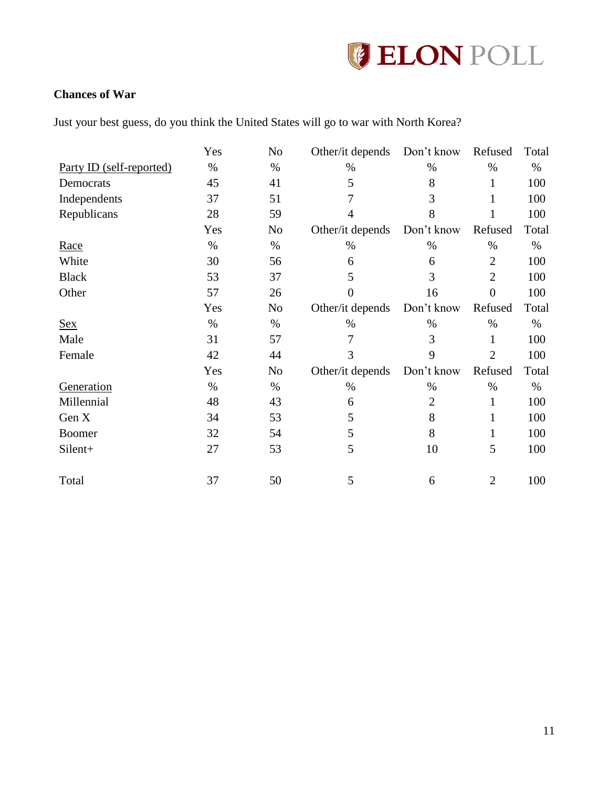

### <span id="page-11-0"></span>**Chances of War**

Just your best guess, do you think the United States will go to war with North Korea?

|                          | Yes  | No             | Other/it depends | Don't know     | Refused        | Total |
|--------------------------|------|----------------|------------------|----------------|----------------|-------|
| Party ID (self-reported) | $\%$ | $\%$           | $\%$             | $\%$           | $\%$           | $\%$  |
| Democrats                | 45   | 41             | 5                | 8              |                | 100   |
| Independents             | 37   | 51             | 7                | 3              |                | 100   |
| Republicans              | 28   | 59             | $\overline{4}$   | 8              |                | 100   |
|                          | Yes  | N <sub>0</sub> | Other/it depends | Don't know     | Refused        | Total |
| Race                     | $\%$ | $\%$           | $\%$             | $\%$           | %              | $\%$  |
| White                    | 30   | 56             | 6                | 6              | $\overline{2}$ | 100   |
| <b>Black</b>             | 53   | 37             | 5                | 3              | $\overline{2}$ | 100   |
| Other                    | 57   | 26             | $\boldsymbol{0}$ | 16             | $\overline{0}$ | 100   |
|                          | Yes  | No             | Other/it depends | Don't know     | Refused        | Total |
| <b>Sex</b>               | $\%$ | $\%$           | $\%$             | $\%$           | $\%$           | $\%$  |
| Male                     | 31   | 57             | 7                | 3              | 1              | 100   |
| Female                   | 42   | 44             | 3                | 9              | $\overline{2}$ | 100   |
|                          | Yes  | N <sub>0</sub> | Other/it depends | Don't know     | Refused        | Total |
| Generation               | $\%$ | $\%$           | $\%$             | $\%$           | %              | $\%$  |
| Millennial               | 48   | 43             | 6                | $\overline{2}$ | 1              | 100   |
| Gen X                    | 34   | 53             | 5                | 8              | 1              | 100   |
| <b>Boomer</b>            | 32   | 54             | 5                | 8              | 1              | 100   |
| Silent+                  | 27   | 53             | 5                | 10             | 5              | 100   |
| Total                    | 37   | 50             | 5                | 6              | $\overline{2}$ | 100   |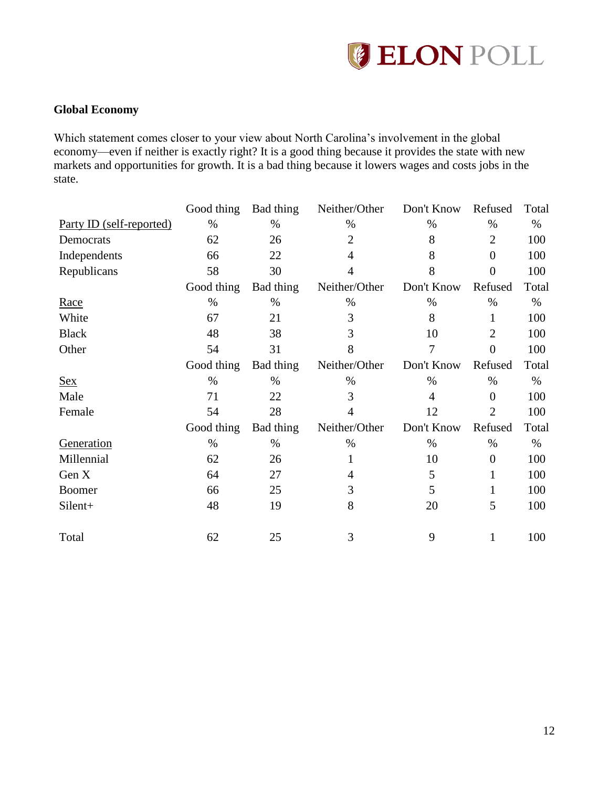

### <span id="page-12-0"></span>**Global Economy**

Which statement comes closer to your view about North Carolina's involvement in the global economy—even if neither is exactly right? It is a good thing because it provides the state with new markets and opportunities for growth. It is a bad thing because it lowers wages and costs jobs in the state.

|                          | Good thing | Bad thing | Neither/Other  | Don't Know | Refused        | Total |
|--------------------------|------------|-----------|----------------|------------|----------------|-------|
| Party ID (self-reported) | $\%$       | $\%$      | $\%$           | $\%$       | $\%$           | $\%$  |
| Democrats                | 62         | 26        | 2              | 8          | $\overline{2}$ | 100   |
| Independents             | 66         | 22        | 4              | 8          | $\overline{0}$ | 100   |
| Republicans              | 58         | 30        | $\overline{4}$ | 8          | $\overline{0}$ | 100   |
|                          | Good thing | Bad thing | Neither/Other  | Don't Know | Refused        | Total |
| Race                     | $\%$       | $\%$      | $\%$           | $\%$       | $\%$           | $\%$  |
| White                    | 67         | 21        | 3              | 8          | 1              | 100   |
| <b>Black</b>             | 48         | 38        | 3              | 10         | $\overline{2}$ | 100   |
| Other                    | 54         | 31        | 8              | 7          | $\overline{0}$ | 100   |
|                          | Good thing | Bad thing | Neither/Other  | Don't Know | Refused        | Total |
| <u>Sex</u>               | $\%$       | $\%$      | $\%$           | $\%$       | $\%$           | $\%$  |
| Male                     | 71         | 22        | 3              | 4          | $\overline{0}$ | 100   |
| Female                   | 54         | 28        | 4              | 12         | $\overline{2}$ | 100   |
|                          | Good thing | Bad thing | Neither/Other  | Don't Know | Refused        | Total |
| Generation               | $\%$       | $\%$      | $\%$           | $\%$       | $\%$           | $\%$  |
| Millennial               | 62         | 26        | 1              | 10         | $\overline{0}$ | 100   |
| Gen X                    | 64         | 27        | 4              | 5          | 1              | 100   |
| <b>Boomer</b>            | 66         | 25        | 3              | 5          | 1              | 100   |
| Silent+                  | 48         | 19        | 8              | 20         | 5              | 100   |
| Total                    | 62         | 25        | 3              | 9          | 1              | 100   |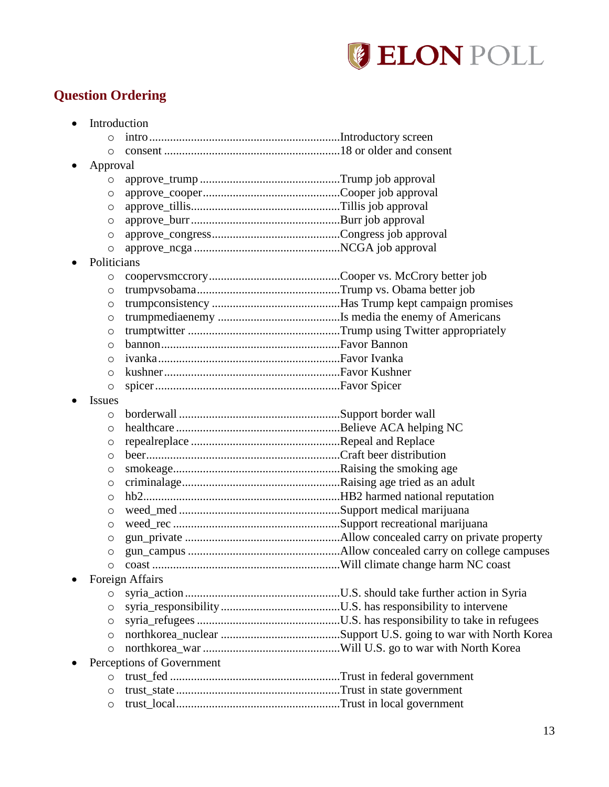

# <span id="page-13-0"></span>**Question Ordering**

| $\bullet$     | Introduction              |  |
|---------------|---------------------------|--|
| $\circ$       |                           |  |
| $\circ$       |                           |  |
| Approval      |                           |  |
| O             |                           |  |
| O             |                           |  |
| $\circ$       |                           |  |
| O             |                           |  |
| O             |                           |  |
| O             |                           |  |
| Politicians   |                           |  |
| O             |                           |  |
| $\circ$       |                           |  |
| O             |                           |  |
| $\circ$       |                           |  |
| $\circ$       |                           |  |
| $\circ$       |                           |  |
| $\circ$       |                           |  |
| $\circ$       |                           |  |
| $\circ$       |                           |  |
| <b>Issues</b> |                           |  |
| $\circ$       |                           |  |
| $\circ$       |                           |  |
| O             |                           |  |
| $\circ$       |                           |  |
| $\circ$       |                           |  |
| O             |                           |  |
| $\circ$       |                           |  |
| $\circ$       |                           |  |
| $\circ$       |                           |  |
| O             |                           |  |
| $\circ$       |                           |  |
| $\circ$       |                           |  |
|               | Foreign Affairs           |  |
| $\circ$       |                           |  |
| $\circ$       |                           |  |
| $\circ$       |                           |  |
| $\circ$       |                           |  |
| $\circ$       |                           |  |
|               | Perceptions of Government |  |
| $\circ$       |                           |  |
| $\circ$       |                           |  |
| $\circ$       |                           |  |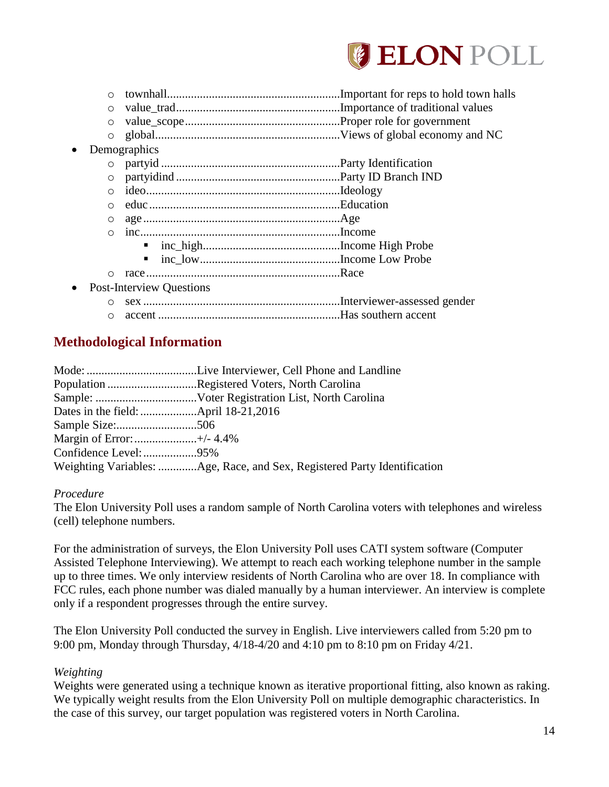

|           | $\circ$ |                                 | Important for reps to hold town halls |
|-----------|---------|---------------------------------|---------------------------------------|
|           | $\circ$ |                                 |                                       |
|           | $\circ$ |                                 |                                       |
|           | $\circ$ |                                 |                                       |
| $\bullet$ |         | Demographics                    |                                       |
|           | $\circ$ |                                 |                                       |
|           | $\circ$ |                                 |                                       |
|           | $\circ$ |                                 |                                       |
|           | $\circ$ |                                 |                                       |
|           | O       |                                 |                                       |
|           | $\circ$ |                                 |                                       |
|           |         | п                               |                                       |
|           |         | п                               |                                       |
|           | $\circ$ |                                 |                                       |
| $\bullet$ |         | <b>Post-Interview Questions</b> |                                       |
|           |         |                                 |                                       |
|           |         |                                 |                                       |

o accent .............................................................Has southern accent

## <span id="page-14-0"></span>**Methodological Information**

|                           | Population Registered Voters, North Carolina                             |
|---------------------------|--------------------------------------------------------------------------|
|                           |                                                                          |
|                           |                                                                          |
|                           |                                                                          |
| Margin of Error: +/- 4.4% |                                                                          |
| Confidence Level: 95%     |                                                                          |
|                           | Weighting Variables: Age, Race, and Sex, Registered Party Identification |

### *Procedure*

The Elon University Poll uses a random sample of North Carolina voters with telephones and wireless (cell) telephone numbers.

For the administration of surveys, the Elon University Poll uses CATI system software (Computer Assisted Telephone Interviewing). We attempt to reach each working telephone number in the sample up to three times. We only interview residents of North Carolina who are over 18. In compliance with FCC rules, each phone number was dialed manually by a human interviewer. An interview is complete only if a respondent progresses through the entire survey.

The Elon University Poll conducted the survey in English. Live interviewers called from 5:20 pm to 9:00 pm, Monday through Thursday, 4/18-4/20 and 4:10 pm to 8:10 pm on Friday 4/21.

### *Weighting*

Weights were generated using a technique known as iterative proportional fitting, also known as raking. We typically weight results from the Elon University Poll on multiple demographic characteristics. In the case of this survey, our target population was registered voters in North Carolina.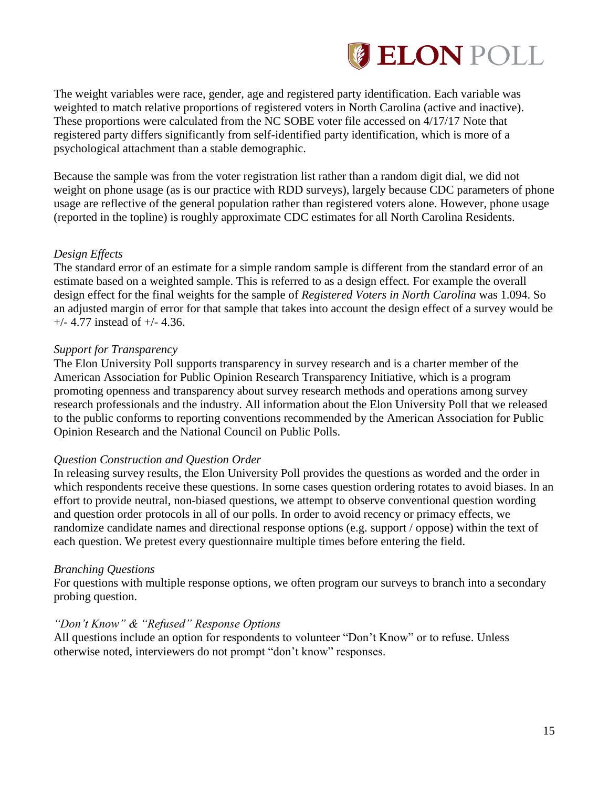

The weight variables were race, gender, age and registered party identification. Each variable was weighted to match relative proportions of registered voters in North Carolina (active and inactive). These proportions were calculated from the NC SOBE voter file accessed on 4/17/17 Note that registered party differs significantly from self-identified party identification, which is more of a psychological attachment than a stable demographic.

Because the sample was from the voter registration list rather than a random digit dial, we did not weight on phone usage (as is our practice with RDD surveys), largely because CDC parameters of phone usage are reflective of the general population rather than registered voters alone. However, phone usage (reported in the topline) is roughly approximate CDC estimates for all North Carolina Residents.

### *Design Effects*

The standard error of an estimate for a simple random sample is different from the standard error of an estimate based on a weighted sample. This is referred to as a design effect. For example the overall design effect for the final weights for the sample of *Registered Voters in North Carolina* was 1.094. So an adjusted margin of error for that sample that takes into account the design effect of a survey would be +/- 4.77 instead of +/- 4.36.

### *Support for Transparency*

The Elon University Poll supports transparency in survey research and is a charter member of the American Association for Public Opinion Research Transparency Initiative, which is a program promoting openness and transparency about survey research methods and operations among survey research professionals and the industry. All information about the Elon University Poll that we released to the public conforms to reporting conventions recommended by the American Association for Public Opinion Research and the National Council on Public Polls.

### *Question Construction and Question Order*

In releasing survey results, the Elon University Poll provides the questions as worded and the order in which respondents receive these questions. In some cases question ordering rotates to avoid biases. In an effort to provide neutral, non-biased questions, we attempt to observe conventional question wording and question order protocols in all of our polls. In order to avoid recency or primacy effects, we randomize candidate names and directional response options (e.g. support / oppose) within the text of each question. We pretest every questionnaire multiple times before entering the field.

### *Branching Questions*

For questions with multiple response options, we often program our surveys to branch into a secondary probing question.

### *"Don't Know" & "Refused" Response Options*

All questions include an option for respondents to volunteer "Don't Know" or to refuse. Unless otherwise noted, interviewers do not prompt "don't know" responses.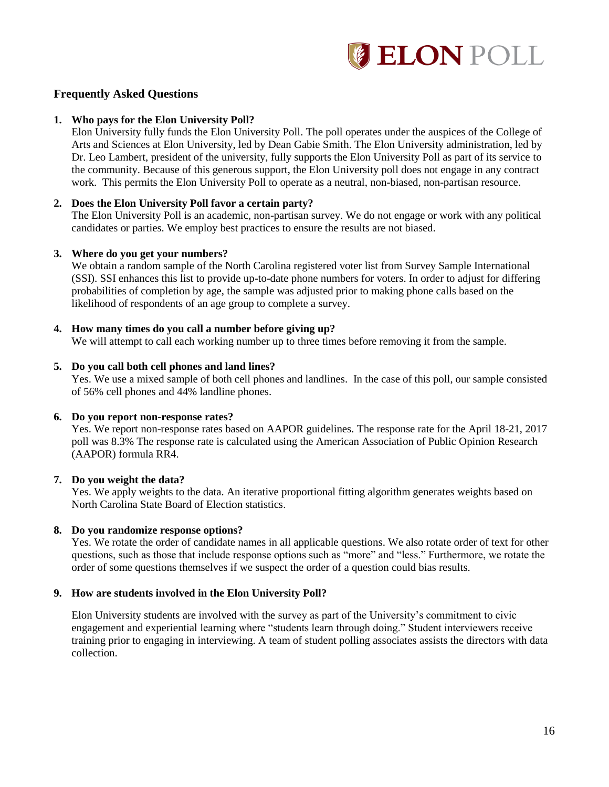

### **Frequently Asked Questions**

#### **1. Who pays for the Elon University Poll?**

Elon University fully funds the Elon University Poll. The poll operates under the auspices of the College of Arts and Sciences at Elon University, led by Dean Gabie Smith. The Elon University administration, led by Dr. Leo Lambert, president of the university, fully supports the Elon University Poll as part of its service to the community. Because of this generous support, the Elon University poll does not engage in any contract work. This permits the Elon University Poll to operate as a neutral, non-biased, non-partisan resource.

#### **2. Does the Elon University Poll favor a certain party?**

The Elon University Poll is an academic, non-partisan survey. We do not engage or work with any political candidates or parties. We employ best practices to ensure the results are not biased.

#### **3. Where do you get your numbers?**

We obtain a random sample of the North Carolina registered voter list from Survey Sample International (SSI). SSI enhances this list to provide up-to-date phone numbers for voters. In order to adjust for differing probabilities of completion by age, the sample was adjusted prior to making phone calls based on the likelihood of respondents of an age group to complete a survey.

#### **4. How many times do you call a number before giving up?**

We will attempt to call each working number up to three times before removing it from the sample.

#### **5. Do you call both cell phones and land lines?**

Yes. We use a mixed sample of both cell phones and landlines. In the case of this poll, our sample consisted of 56% cell phones and 44% landline phones.

#### **6. Do you report non-response rates?**

Yes. We report non-response rates based on AAPOR guidelines. The response rate for the April 18-21, 2017 poll was 8.3% The response rate is calculated using the American Association of Public Opinion Research (AAPOR) formula RR4.

#### **7. Do you weight the data?**

Yes. We apply weights to the data. An iterative proportional fitting algorithm generates weights based on North Carolina State Board of Election statistics.

#### **8. Do you randomize response options?**

Yes. We rotate the order of candidate names in all applicable questions. We also rotate order of text for other questions, such as those that include response options such as "more" and "less." Furthermore, we rotate the order of some questions themselves if we suspect the order of a question could bias results.

#### **9. How are students involved in the Elon University Poll?**

Elon University students are involved with the survey as part of the University's commitment to civic engagement and experiential learning where "students learn through doing." Student interviewers receive training prior to engaging in interviewing. A team of student polling associates assists the directors with data collection.